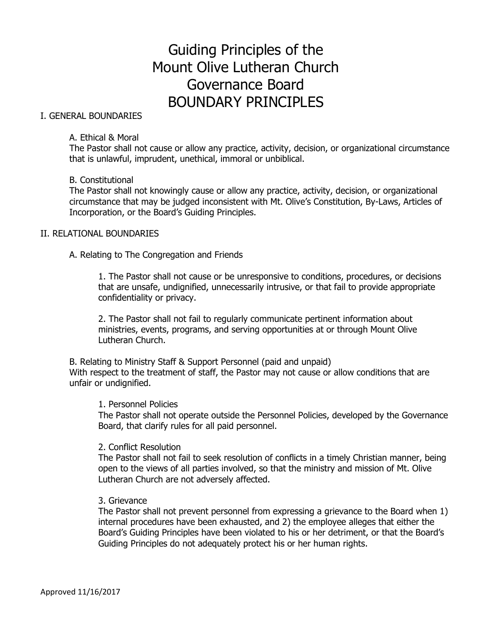# Guiding Principles of the Mount Olive Lutheran Church Governance Board BOUNDARY PRINCIPLES

# I. GENERAL BOUNDARIES

## A. Ethical & Moral

The Pastor shall not cause or allow any practice, activity, decision, or organizational circumstance that is unlawful, imprudent, unethical, immoral or unbiblical.

# B. Constitutional

The Pastor shall not knowingly cause or allow any practice, activity, decision, or organizational circumstance that may be judged inconsistent with Mt. Olive's Constitution, By-Laws, Articles of Incorporation, or the Board's Guiding Principles.

# II. RELATIONAL BOUNDARIES

A. Relating to The Congregation and Friends

1. The Pastor shall not cause or be unresponsive to conditions, procedures, or decisions that are unsafe, undignified, unnecessarily intrusive, or that fail to provide appropriate confidentiality or privacy.

2. The Pastor shall not fail to regularly communicate pertinent information about ministries, events, programs, and serving opportunities at or through Mount Olive Lutheran Church.

B. Relating to Ministry Staff & Support Personnel (paid and unpaid) With respect to the treatment of staff, the Pastor may not cause or allow conditions that are unfair or undignified.

#### 1. Personnel Policies

The Pastor shall not operate outside the Personnel Policies, developed by the Governance Board, that clarify rules for all paid personnel.

#### 2. Conflict Resolution

The Pastor shall not fail to seek resolution of conflicts in a timely Christian manner, being open to the views of all parties involved, so that the ministry and mission of Mt. Olive Lutheran Church are not adversely affected.

#### 3. Grievance

The Pastor shall not prevent personnel from expressing a grievance to the Board when 1) internal procedures have been exhausted, and 2) the employee alleges that either the Board's Guiding Principles have been violated to his or her detriment, or that the Board's Guiding Principles do not adequately protect his or her human rights.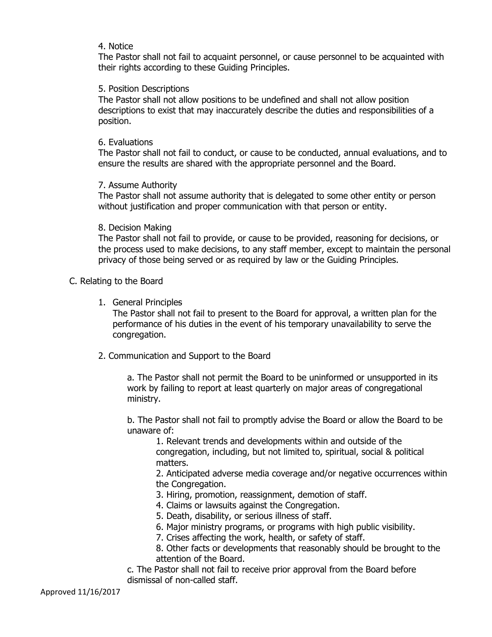# 4. Notice

The Pastor shall not fail to acquaint personnel, or cause personnel to be acquainted with their rights according to these Guiding Principles.

# 5. Position Descriptions

The Pastor shall not allow positions to be undefined and shall not allow position descriptions to exist that may inaccurately describe the duties and responsibilities of a position.

## 6. Evaluations

The Pastor shall not fail to conduct, or cause to be conducted, annual evaluations, and to ensure the results are shared with the appropriate personnel and the Board.

# 7. Assume Authority

The Pastor shall not assume authority that is delegated to some other entity or person without justification and proper communication with that person or entity.

# 8. Decision Making

The Pastor shall not fail to provide, or cause to be provided, reasoning for decisions, or the process used to make decisions, to any staff member, except to maintain the personal privacy of those being served or as required by law or the Guiding Principles.

# C. Relating to the Board

1. General Principles

The Pastor shall not fail to present to the Board for approval, a written plan for the performance of his duties in the event of his temporary unavailability to serve the congregation.

2. Communication and Support to the Board

a. The Pastor shall not permit the Board to be uninformed or unsupported in its work by failing to report at least quarterly on major areas of congregational ministry.

b. The Pastor shall not fail to promptly advise the Board or allow the Board to be unaware of:

1. Relevant trends and developments within and outside of the congregation, including, but not limited to, spiritual, social & political matters.

2. Anticipated adverse media coverage and/or negative occurrences within the Congregation.

- 3. Hiring, promotion, reassignment, demotion of staff.
- 4. Claims or lawsuits against the Congregation.
- 5. Death, disability, or serious illness of staff.
- 6. Major ministry programs, or programs with high public visibility.
- 7. Crises affecting the work, health, or safety of staff.

8. Other facts or developments that reasonably should be brought to the attention of the Board.

c. The Pastor shall not fail to receive prior approval from the Board before dismissal of non-called staff.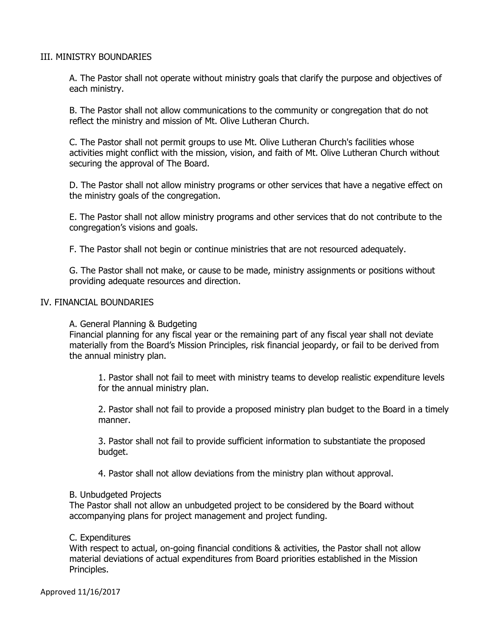# III. MINISTRY BOUNDARIES

A. The Pastor shall not operate without ministry goals that clarify the purpose and objectives of each ministry.

B. The Pastor shall not allow communications to the community or congregation that do not reflect the ministry and mission of Mt. Olive Lutheran Church.

C. The Pastor shall not permit groups to use Mt. Olive Lutheran Church's facilities whose activities might conflict with the mission, vision, and faith of Mt. Olive Lutheran Church without securing the approval of The Board.

D. The Pastor shall not allow ministry programs or other services that have a negative effect on the ministry goals of the congregation.

E. The Pastor shall not allow ministry programs and other services that do not contribute to the congregation's visions and goals.

F. The Pastor shall not begin or continue ministries that are not resourced adequately.

G. The Pastor shall not make, or cause to be made, ministry assignments or positions without providing adequate resources and direction.

# IV. FINANCIAL BOUNDARIES

A. General Planning & Budgeting

Financial planning for any fiscal year or the remaining part of any fiscal year shall not deviate materially from the Board's Mission Principles, risk financial jeopardy, or fail to be derived from the annual ministry plan.

1. Pastor shall not fail to meet with ministry teams to develop realistic expenditure levels for the annual ministry plan.

2. Pastor shall not fail to provide a proposed ministry plan budget to the Board in a timely manner.

3. Pastor shall not fail to provide sufficient information to substantiate the proposed budget.

4. Pastor shall not allow deviations from the ministry plan without approval.

#### B. Unbudgeted Projects

The Pastor shall not allow an unbudgeted project to be considered by the Board without accompanying plans for project management and project funding.

# C. Expenditures

With respect to actual, on-going financial conditions & activities, the Pastor shall not allow material deviations of actual expenditures from Board priorities established in the Mission Principles.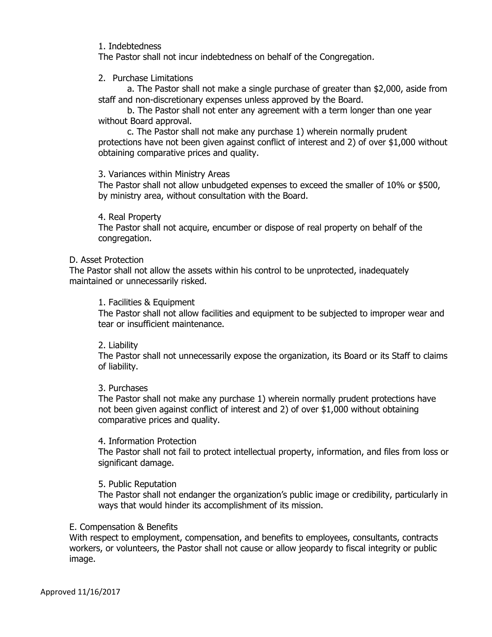#### 1. Indebtedness

The Pastor shall not incur indebtedness on behalf of the Congregation.

## 2. Purchase Limitations

a. The Pastor shall not make a single purchase of greater than \$2,000, aside from staff and non-discretionary expenses unless approved by the Board.

b. The Pastor shall not enter any agreement with a term longer than one year without Board approval.

c. The Pastor shall not make any purchase 1) wherein normally prudent protections have not been given against conflict of interest and 2) of over \$1,000 without obtaining comparative prices and quality.

# 3. Variances within Ministry Areas

The Pastor shall not allow unbudgeted expenses to exceed the smaller of 10% or \$500, by ministry area, without consultation with the Board.

# 4. Real Property

The Pastor shall not acquire, encumber or dispose of real property on behalf of the congregation.

#### D. Asset Protection

The Pastor shall not allow the assets within his control to be unprotected, inadequately maintained or unnecessarily risked.

# 1. Facilities & Equipment

The Pastor shall not allow facilities and equipment to be subjected to improper wear and tear or insufficient maintenance.

#### 2. Liability

The Pastor shall not unnecessarily expose the organization, its Board or its Staff to claims of liability.

# 3. Purchases

The Pastor shall not make any purchase 1) wherein normally prudent protections have not been given against conflict of interest and 2) of over \$1,000 without obtaining comparative prices and quality.

# 4. Information Protection

The Pastor shall not fail to protect intellectual property, information, and files from loss or significant damage.

# 5. Public Reputation

The Pastor shall not endanger the organization's public image or credibility, particularly in ways that would hinder its accomplishment of its mission.

#### E. Compensation & Benefits

With respect to employment, compensation, and benefits to employees, consultants, contracts workers, or volunteers, the Pastor shall not cause or allow jeopardy to fiscal integrity or public image.